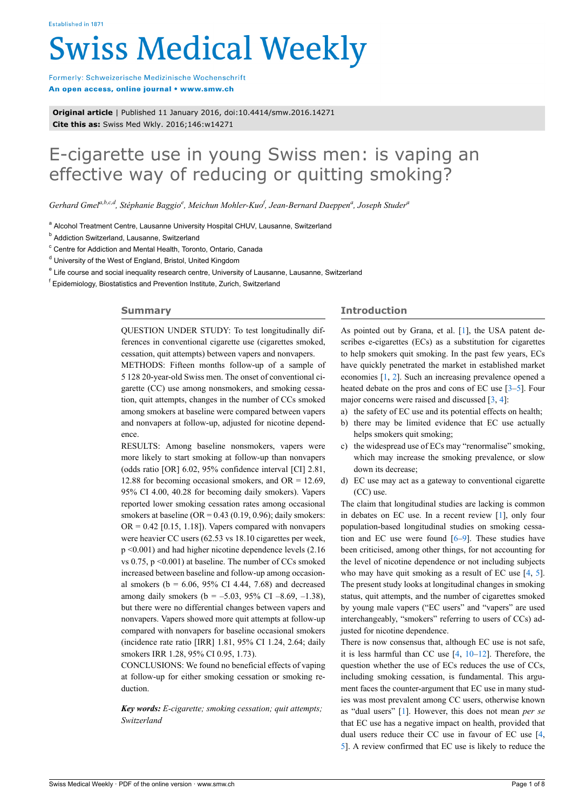# **Swiss Medical Weekly**

Formerly: Schweizerische Medizinische Wochenschrift An open access, online journal • www.smw.ch

**Original article** | Published 11 January 2016, doi:10.4414/smw.2016.14271 **Cite this as:** Swiss Med Wkly. 2016;146:w14271

# E-cigarette use in young Swiss men: is vaping an effective way of reducing or quitting smoking?

*Gerhard Gmela,b,c,d, Stéphanie Baggio<sup>e</sup> , Meichun Mohler-Kuo<sup>f</sup> , Jean-Bernard Daeppen<sup>a</sup> , Joseph Studer<sup>a</sup>*

<sup>a</sup> Alcohol Treatment Centre, Lausanne University Hospital CHUV, Lausanne, Switzerland

<sup>b</sup> Addiction Switzerland, Lausanne, Switzerland

<sup>c</sup> Centre for Addiction and Mental Health, Toronto, Ontario, Canada

<sup>d</sup> University of the West of England, Bristol, United Kingdom

<sup>e</sup> Life course and social inequality research centre, University of Lausanne, Lausanne, Switzerland

<sup>f</sup> Epidemiology, Biostatistics and Prevention Institute, Zurich, Switzerland

# **Summary**

QUESTION UNDER STUDY: To test longitudinally differences in conventional cigarette use (cigarettes smoked, cessation, quit attempts) between vapers and nonvapers.

METHODS: Fifteen months follow-up of a sample of 5 128 20-year-old Swiss men. The onset of conventional cigarette (CC) use among nonsmokers, and smoking cessation, quit attempts, changes in the number of CCs smoked among smokers at baseline were compared between vapers and nonvapers at follow-up, adjusted for nicotine dependence.

RESULTS: Among baseline nonsmokers, vapers were more likely to start smoking at follow-up than nonvapers (odds ratio [OR] 6.02, 95% confidence interval [CI] 2.81, 12.88 for becoming occasional smokers, and  $OR = 12.69$ . 95% CI 4.00, 40.28 for becoming daily smokers). Vapers reported lower smoking cessation rates among occasional smokers at baseline  $(OR = 0.43 (0.19, 0.96))$ ; daily smokers:  $OR = 0.42$  [0.15, 1.18]). Vapers compared with nonvapers were heavier CC users (62.53 vs 18.10 cigarettes per week, p <0.001) and had higher nicotine dependence levels (2.16 vs 0.75, p <0.001) at baseline. The number of CCs smoked increased between baseline and follow-up among occasional smokers ( $b = 6.06, 95\%$  CI 4.44, 7.68) and decreased among daily smokers ( $b = -5.03, 95\%$  CI  $-8.69, -1.38$ ). but there were no differential changes between vapers and nonvapers. Vapers showed more quit attempts at follow-up compared with nonvapers for baseline occasional smokers (incidence rate ratio [IRR] 1.81, 95% CI 1.24, 2.64; daily smokers IRR 1.28, 95% CI 0.95, 1.73).

CONCLUSIONS: We found no beneficial effects of vaping at follow-up for either smoking cessation or smoking reduction.

*Key words: E-cigarette; smoking cessation; quit attempts; Switzerland*

# **Introduction**

As pointed out by Grana, et al. [\[1\]](#page-6-0), the USA patent describes e-cigarettes (ECs) as a substitution for cigarettes to help smokers quit smoking. In the past few years, ECs have quickly penetrated the market in established market economies [[1](#page-6-0), [2\]](#page-7-0). Such an increasing prevalence opened a heated debate on the pros and cons of EC use [\[3](#page-7-1)[–5\]](#page-7-2). Four major concerns were raised and discussed [[3](#page-7-1), [4](#page-7-3)]:

- a) the safety of EC use and its potential effects on health;
- b) there may be limited evidence that EC use actually helps smokers quit smoking;
- c) the widespread use of ECs may "renormalise" smoking, which may increase the smoking prevalence, or slow down its decrease;
- d) EC use may act as a gateway to conventional cigarette (CC) use.

The claim that longitudinal studies are lacking is common in debates on EC use. In a recent review [[1](#page-6-0)], only four population-based longitudinal studies on smoking cessation and EC use were found [[6](#page-7-4)–[9](#page-7-5)]. These studies have been criticised, among other things, for not accounting for the level of nicotine dependence or not including subjects who may have quit smoking as a result of EC use [\[4,](#page-7-3) [5\]](#page-7-2). The present study looks at longitudinal changes in smoking status, quit attempts, and the number of cigarettes smoked by young male vapers ("EC users" and "vapers" are used interchangeably, "smokers" referring to users of CCs) adjusted for nicotine dependence.

There is now consensus that, although EC use is not safe, it is less harmful than CC use [[4](#page-7-3), [10–](#page-7-6)[12](#page-7-7)]. Therefore, the question whether the use of ECs reduces the use of CCs, including smoking cessation, is fundamental. This argument faces the counter-argument that EC use in many studies was most prevalent among CC users, otherwise known as "dual users" [[1](#page-6-0)]. However, this does not mean *per se* that EC use has a negative impact on health, provided that dual users reduce their CC use in favour of EC use [\[4,](#page-7-3) [5](#page-7-2)]. A review confirmed that EC use is likely to reduce the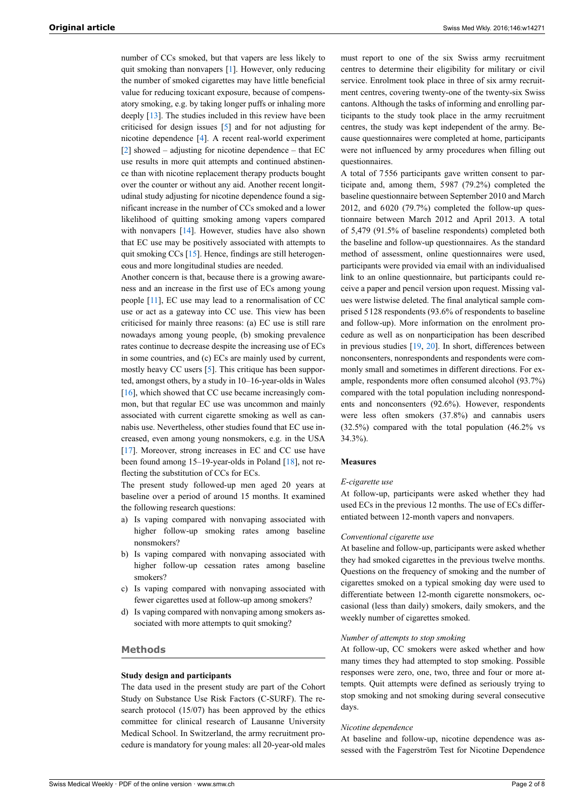number of CCs smoked, but that vapers are less likely to quit smoking than nonvapers [[1](#page-6-0)]. However, only reducing the number of smoked cigarettes may have little beneficial value for reducing toxicant exposure, because of compensatory smoking, e.g. by taking longer puffs or inhaling more deeply [[13\]](#page-7-8). The studies included in this review have been criticised for design issues [\[5\]](#page-7-2) and for not adjusting for nicotine dependence [[4](#page-7-3)]. A recent real-world experiment [\[2\]](#page-7-0) showed – adjusting for nicotine dependence – that EC use results in more quit attempts and continued abstinence than with nicotine replacement therapy products bought over the counter or without any aid. Another recent longitudinal study adjusting for nicotine dependence found a significant increase in the number of CCs smoked and a lower likelihood of quitting smoking among vapers compared with nonvapers [[14\]](#page-7-9). However, studies have also shown that EC use may be positively associated with attempts to quit smoking CCs [[15\]](#page-7-10). Hence, findings are still heterogeneous and more longitudinal studies are needed.

Another concern is that, because there is a growing awareness and an increase in the first use of ECs among young people [\[11\]](#page-7-11), EC use may lead to a renormalisation of CC use or act as a gateway into CC use. This view has been criticised for mainly three reasons: (a) EC use is still rare nowadays among young people, (b) smoking prevalence rates continue to decrease despite the increasing use of ECs in some countries, and (c) ECs are mainly used by current, mostly heavy CC users [[5](#page-7-2)]. This critique has been supported, amongst others, by a study in 10–16-year-olds in Wales [\[16](#page-7-12)], which showed that CC use became increasingly common, but that regular EC use was uncommon and mainly associated with current cigarette smoking as well as cannabis use. Nevertheless, other studies found that EC use increased, even among young nonsmokers, e.g. in the USA [\[17](#page-7-13)]. Moreover, strong increases in EC and CC use have been found among 15–19-year-olds in Poland [[18\]](#page-7-0), not reflecting the substitution of CCs for ECs.

The present study followed-up men aged 20 years at baseline over a period of around 15 months. It examined the following research questions:

- a) Is vaping compared with nonvaping associated with higher follow-up smoking rates among baseline nonsmokers?
- b) Is vaping compared with nonvaping associated with higher follow-up cessation rates among baseline smokers?
- c) Is vaping compared with nonvaping associated with fewer cigarettes used at follow-up among smokers?
- d) Is vaping compared with nonvaping among smokers associated with more attempts to quit smoking?

# **Methods**

#### **Study design and participants**

The data used in the present study are part of the Cohort Study on Substance Use Risk Factors (C-SURF). The research protocol (15/07) has been approved by the ethics committee for clinical research of Lausanne University Medical School. In Switzerland, the army recruitment procedure is mandatory for young males: all 20-year-old males

must report to one of the six Swiss army recruitment centres to determine their eligibility for military or civil service. Enrolment took place in three of six army recruitment centres, covering twenty-one of the twenty-six Swiss cantons. Although the tasks of informing and enrolling participants to the study took place in the army recruitment centres, the study was kept independent of the army. Because questionnaires were completed at home, participants were not influenced by army procedures when filling out questionnaires.

A total of 7556 participants gave written consent to participate and, among them, 5987 (79.2%) completed the baseline questionnaire between September 2010 and March 2012, and 6020 (79.7%) completed the follow-up questionnaire between March 2012 and April 2013. A total of 5,479 (91.5% of baseline respondents) completed both the baseline and follow-up questionnaires. As the standard method of assessment, online questionnaires were used, participants were provided via email with an individualised link to an online questionnaire, but participants could receive a paper and pencil version upon request. Missing values were listwise deleted. The final analytical sample comprised 5128 respondents (93.6% of respondents to baseline and follow-up). More information on the enrolment procedure as well as on nonparticipation has been described in previous studies [\[19](#page-7-1), [20](#page-7-14)]. In short, differences between nonconsenters, nonrespondents and respondents were commonly small and sometimes in different directions. For example, respondents more often consumed alcohol (93.7%) compared with the total population including nonrespondents and nonconsenters (92.6%). However, respondents were less often smokers (37.8%) and cannabis users (32.5%) compared with the total population (46.2% vs 34.3%).

#### **Measures**

#### *E-cigarette use*

At follow-up, participants were asked whether they had used ECs in the previous 12 months. The use of ECs differentiated between 12-month vapers and nonvapers.

#### *Conventional cigarette use*

At baseline and follow-up, participants were asked whether they had smoked cigarettes in the previous twelve months. Questions on the frequency of smoking and the number of cigarettes smoked on a typical smoking day were used to differentiate between 12-month cigarette nonsmokers, occasional (less than daily) smokers, daily smokers, and the weekly number of cigarettes smoked.

# *Number of attempts to stop smoking*

At follow-up, CC smokers were asked whether and how many times they had attempted to stop smoking. Possible responses were zero, one, two, three and four or more attempts. Quit attempts were defined as seriously trying to stop smoking and not smoking during several consecutive days.

#### *Nicotine dependence*

At baseline and follow-up, nicotine dependence was assessed with the Fagerström Test for Nicotine Dependence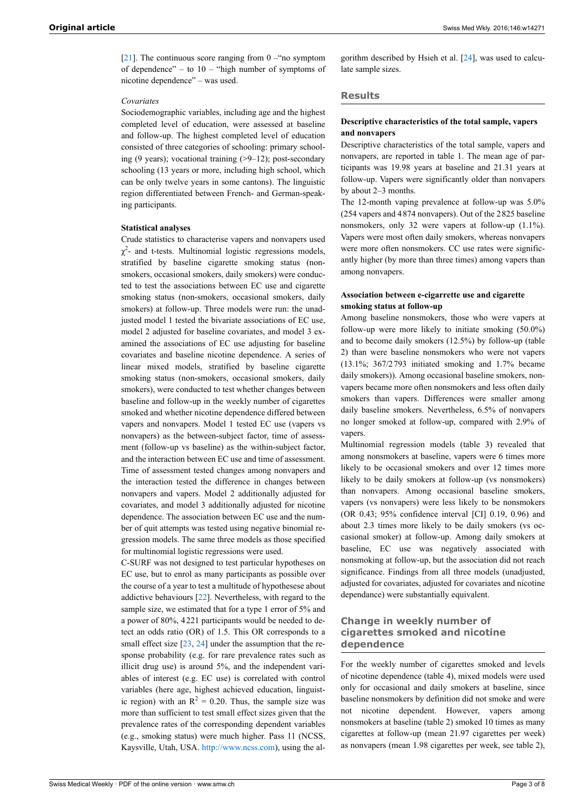[\[21](#page-7-15)]. The continuous score ranging from  $0 - \text{``no symptom}$ of dependence" – to  $10 -$  "high number of symptoms of nicotine dependence" – was used.

#### *Covariates*

Sociodemographic variables, including age and the highest completed level of education, were assessed at baseline and follow-up. The highest completed level of education consisted of three categories of schooling: primary schooling (9 years); vocational training (>9–12); post-secondary schooling (13 years or more, including high school, which can be only twelve years in some cantons). The linguistic region differentiated between French- and German-speaking participants.

#### **Statistical analyses**

Crude statistics to characterise vapers and nonvapers used  $\chi^2$ - and t-tests. Multinomial logistic regressions models, stratified by baseline cigarette smoking status (nonsmokers, occasional smokers, daily smokers) were conducted to test the associations between EC use and cigarette smoking status (non-smokers, occasional smokers, daily smokers) at follow-up. Three models were run: the unadjusted model 1 tested the bivariate associations of EC use, model 2 adjusted for baseline covariates, and model 3 examined the associations of EC use adjusting for baseline covariates and baseline nicotine dependence. A series of linear mixed models, stratified by baseline cigarette smoking status (non-smokers, occasional smokers, daily smokers), were conducted to test whether changes between baseline and follow-up in the weekly number of cigarettes smoked and whether nicotine dependence differed between vapers and nonvapers. Model 1 tested EC use (vapers vs nonvapers) as the between-subject factor, time of assessment (follow-up vs baseline) as the within-subject factor, and the interaction between EC use and time of assessment. Time of assessment tested changes among nonvapers and the interaction tested the difference in changes between nonvapers and vapers. Model 2 additionally adjusted for covariates, and model 3 additionally adjusted for nicotine dependence. The association between EC use and the number of quit attempts was tested using negative binomial regression models. The same three models as those specified for multinomial logistic regressions were used.

C-SURF was not designed to test particular hypotheses on EC use, but to enrol as many participants as possible over the course of a year to test a multitude of hypothesese about addictive behaviours [\[22](#page-7-16)]. Nevertheless, with regard to the sample size, we estimated that for a type 1 error of 5% and a power of 80%, 4221 participants would be needed to detect an odds ratio (OR) of 1.5. This OR corresponds to a small effect size [\[23](#page-7-17), [24](#page-7-18)] under the assumption that the response probability (e.g. for rare prevalence rates such as illicit drug use) is around 5%, and the independent variables of interest (e.g. EC use) is correlated with control variables (here age, highest achieved education, linguistic region) with an  $R^2 = 0.20$ . Thus, the sample size was more than sufficient to test small effect sizes given that the prevalence rates of the corresponding dependent variables (e.g., smoking status) were much higher. Pass 11 (NCSS, Kaysville, Utah, USA. [http://www.ncss.com\)](http://www.ncss.com), using the al-

gorithm described by Hsieh et al. [\[24](#page-7-18)], was used to calculate sample sizes.

#### **Results**

# **Descriptive characteristics of the total sample, vapers and nonvapers**

Descriptive characteristics of the total sample, vapers and nonvapers, are reported in table 1. The mean age of participants was 19.98 years at baseline and 21.31 years at follow-up. Vapers were significantly older than nonvapers by about 2–3 months.

The 12-month vaping prevalence at follow-up was 5.0% (254 vapers and 4874 nonvapers). Out of the 2825 baseline nonsmokers, only 32 were vapers at follow-up (1.1%). Vapers were most often daily smokers, whereas nonvapers were more often nonsmokers. CC use rates were significantly higher (by more than three times) among vapers than among nonvapers.

# **Association between e-cigarrette use and cigarette smoking status at follow-up**

Among baseline nonsmokers, those who were vapers at follow-up were more likely to initiate smoking (50.0%) and to become daily smokers (12.5%) by follow-up (table 2) than were baseline nonsmokers who were not vapers (13.1%; 367/2793 initiated smoking and 1.7% became daily smokers)). Among occasional baseline smokers, nonvapers became more often nonsmokers and less often daily smokers than vapers. Differences were smaller among daily baseline smokers. Nevertheless, 6.5% of nonvapers no longer smoked at follow-up, compared with 2.9% of vapers.

Multinomial regression models (table 3) revealed that among nonsmokers at baseline, vapers were 6 times more likely to be occasional smokers and over 12 times more likely to be daily smokers at follow-up (vs nonsmokers) than nonvapers. Among occasional baseline smokers, vapers (vs nonvapers) were less likely to be nonsmokers (OR 0.43; 95% confidence interval [CI] 0.19, 0.96) and about 2.3 times more likely to be daily smokers (vs occasional smoker) at follow-up. Among daily smokers at baseline, EC use was negatively associated with nonsmoking at follow-up, but the association did not reach significance. Findings from all three models (unadjusted, adjusted for covariates, adjusted for covariates and nicotine dependance) were substantially equivalent.

# **Change in weekly number of cigarettes smoked and nicotine dependence**

For the weekly number of cigarettes smoked and levels of nicotine dependence (table 4), mixed models were used only for occasional and daily smokers at baseline, since baseline nonsmokers by definition did not smoke and were not nicotine dependent. However, vapers among nonsmokers at baseline (table 2) smoked 10 times as many cigarettes at follow-up (mean 21.97 cigarettes per week) as nonvapers (mean 1.98 cigarettes per week, see table 2),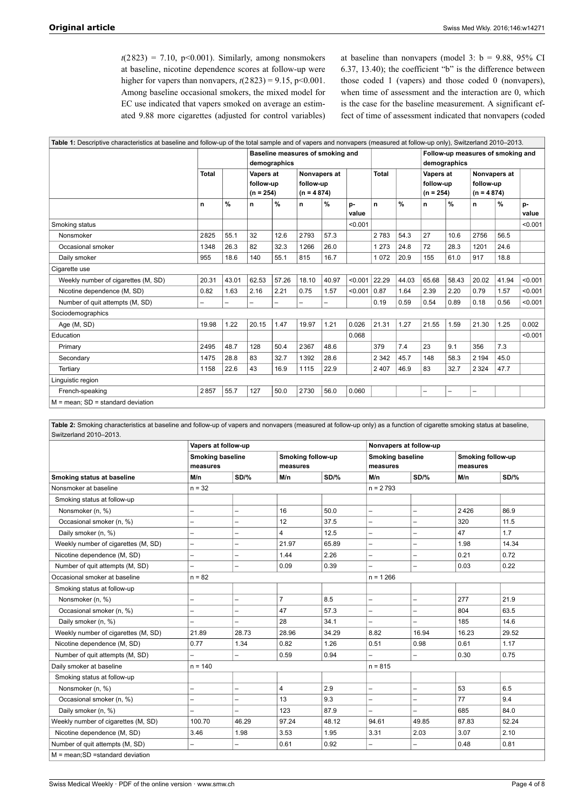$t(2823) = 7.10$ , p<0.001). Similarly, among nonsmokers at baseline, nicotine dependence scores at follow-up were higher for vapers than nonvapers,  $t(2823) = 9.15$ ,  $p < 0.001$ . Among baseline occasional smokers, the mixed model for EC use indicated that vapers smoked on average an estimated 9.88 more cigarettes (adjusted for control variables) at baseline than nonvapers (model 3:  $b = 9.88$ , 95% CI 6.37, 13.40); the coefficient "b" is the difference between those coded 1 (vapers) and those coded 0 (nonvapers), when time of assessment and the interaction are 0, which is the case for the baseline measurement. A significant effect of time of assessment indicated that nonvapers (coded

| Table 1: Descriptive characteristics at baseline and follow-up of the total sample and of vapers and nonvapers (measured at follow-up only), Switzerland 2010–2013. |              |                                                  |                                       |               |                                           |               |             |                                                   |       |                                       |       |                                           |       |             |
|---------------------------------------------------------------------------------------------------------------------------------------------------------------------|--------------|--------------------------------------------------|---------------------------------------|---------------|-------------------------------------------|---------------|-------------|---------------------------------------------------|-------|---------------------------------------|-------|-------------------------------------------|-------|-------------|
|                                                                                                                                                                     |              | Baseline measures of smoking and<br>demographics |                                       |               |                                           |               |             | Follow-up measures of smoking and<br>demographics |       |                                       |       |                                           |       |             |
|                                                                                                                                                                     | <b>Total</b> |                                                  | Vapers at<br>follow-up<br>$(n = 254)$ |               | Nonvapers at<br>follow-up<br>$(n = 4874)$ |               |             | <b>Total</b>                                      |       | Vapers at<br>follow-up<br>$(n = 254)$ |       | Nonvapers at<br>follow-up<br>$(n = 4874)$ |       |             |
|                                                                                                                                                                     | n            | %                                                | n                                     | $\frac{0}{0}$ | n                                         | $\frac{9}{6}$ | p-<br>value | n                                                 | $\%$  | n                                     | $\%$  | n                                         | $\%$  | p-<br>value |
| Smoking status                                                                                                                                                      |              |                                                  |                                       |               |                                           |               | < 0.001     |                                                   |       |                                       |       |                                           |       | < 0.001     |
| Nonsmoker                                                                                                                                                           | 2825         | 55.1                                             | 32                                    | 12.6          | 2793                                      | 57.3          |             | 2 7 8 3                                           | 54.3  | 27                                    | 10.6  | 2756                                      | 56.5  |             |
| Occasional smoker                                                                                                                                                   | 1348         | 26.3                                             | 82                                    | 32.3          | 1266                                      | 26.0          |             | 1 273                                             | 24.8  | 72                                    | 28.3  | 1201                                      | 24.6  |             |
| Daily smoker                                                                                                                                                        | 955          | 18.6                                             | 140                                   | 55.1          | 815                                       | 16.7          |             | 1 0 7 2                                           | 20.9  | 155                                   | 61.0  | 917                                       | 18.8  |             |
| Cigarette use                                                                                                                                                       |              |                                                  |                                       |               |                                           |               |             |                                                   |       |                                       |       |                                           |       |             |
| Weekly number of cigarettes (M, SD)                                                                                                                                 | 20.31        | 43.01                                            | 62.53                                 | 57.26         | 18.10                                     | 40.97         | < 0.001     | 22.29                                             | 44.03 | 65.68                                 | 58.43 | 20.02                                     | 41.94 | < 0.001     |
| Nicotine dependence (M, SD)                                                                                                                                         | 0.82         | 1.63                                             | 2.16                                  | 2.21          | 0.75                                      | 1.57          | < 0.001     | 0.87                                              | 1.64  | 2.39                                  | 2.20  | 0.79                                      | 1.57  | < 0.001     |
| Number of quit attempts (M, SD)                                                                                                                                     | -            |                                                  | -                                     |               | -                                         |               |             | 0.19                                              | 0.59  | 0.54                                  | 0.89  | 0.18                                      | 0.56  | < 0.001     |
| Sociodemographics                                                                                                                                                   |              |                                                  |                                       |               |                                           |               |             |                                                   |       |                                       |       |                                           |       |             |
| Age (M, SD)                                                                                                                                                         | 19.98        | 1.22                                             | 20.15                                 | 1.47          | 19.97                                     | 1.21          | 0.026       | 21.31                                             | 1.27  | 21.55                                 | 1.59  | 21.30                                     | 1.25  | 0.002       |
| Education                                                                                                                                                           |              |                                                  |                                       |               |                                           |               | 0.068       |                                                   |       |                                       |       |                                           |       | < 0.001     |
| Primary                                                                                                                                                             | 2495         | 48.7                                             | 128                                   | 50.4          | 2367                                      | 48.6          |             | 379                                               | 7.4   | 23                                    | 9.1   | 356                                       | 7.3   |             |
| Secondary                                                                                                                                                           | 1475         | 28.8                                             | 83                                    | 32.7          | 1392                                      | 28.6          |             | 2 3 4 2                                           | 45.7  | 148                                   | 58.3  | 2 1 9 4                                   | 45.0  |             |
| Tertiary                                                                                                                                                            | 1158         | 22.6                                             | 43                                    | 16.9          | 1115                                      | 22.9          |             | 2 4 0 7                                           | 46.9  | 83                                    | 32.7  | 2 3 2 4                                   | 47.7  |             |
| Linguistic region                                                                                                                                                   |              |                                                  |                                       |               |                                           |               |             |                                                   |       |                                       |       |                                           |       |             |
| French-speaking                                                                                                                                                     | 2857         | 55.7                                             | 127                                   | 50.0          | 2730                                      | 56.0          | 0.060       |                                                   |       |                                       |       |                                           |       |             |
| $M =$ mean; SD = standard deviation                                                                                                                                 |              |                                                  |                                       |               |                                           |               |             |                                                   |       |                                       |       |                                           |       |             |

**Table 2:** Smoking characteristics at baseline and follow-up of vapers and nonvapers (measured at follow-up only) as a function of cigarette smoking status at baseline, Switzerland 2010–2013.

|                                      | Vapers at follow-up      |                          |                |                   | Nonvapers at follow-up   |                          |       |                   |  |
|--------------------------------------|--------------------------|--------------------------|----------------|-------------------|--------------------------|--------------------------|-------|-------------------|--|
|                                      |                          | <b>Smoking baseline</b>  |                | Smoking follow-up |                          | <b>Smoking baseline</b>  |       | Smoking follow-up |  |
|                                      | measures                 |                          | measures       |                   |                          | measures                 |       | measures          |  |
| Smoking status at baseline           | M/n                      | SD/%                     | M/n            | <b>SD/%</b>       | M/n                      | <b>SD/%</b>              | M/n   | <b>SD/%</b>       |  |
| Nonsmoker at baseline                | $n = 32$                 |                          |                |                   | $n = 2793$               |                          |       |                   |  |
| Smoking status at follow-up          |                          |                          |                |                   |                          |                          |       |                   |  |
| Nonsmoker (n, %)                     |                          | $\overline{\phantom{0}}$ | 16             | 50.0              | $\overline{a}$           |                          | 2426  | 86.9              |  |
| Occasional smoker (n, %)             | -                        | -                        | 12             | 37.5              | $\overline{\phantom{0}}$ |                          | 320   | 11.5              |  |
| Daily smoker (n, %)                  | $\overline{\phantom{0}}$ | ╾                        | 4              | 12.5              | $\overline{\phantom{0}}$ |                          | 47    | 1.7               |  |
| Weekly number of cigarettes (M, SD)  | $\overline{\phantom{0}}$ | ╾                        | 21.97          | 65.89             | $\overline{\phantom{0}}$ |                          | 1.98  | 14.34             |  |
| Nicotine dependence (M, SD)          | $\overline{\phantom{0}}$ | $\overline{\phantom{0}}$ | 1.44           | 2.26              | $\overline{\phantom{0}}$ | $\overline{\phantom{0}}$ | 0.21  | 0.72              |  |
| Number of quit attempts (M, SD)      |                          |                          | 0.09           | 0.39              |                          |                          | 0.03  | 0.22              |  |
| Occasional smoker at baseline        | $n = 82$                 |                          |                |                   | $n = 1266$               |                          |       |                   |  |
| Smoking status at follow-up          |                          |                          |                |                   |                          |                          |       |                   |  |
| Nonsmoker (n, %)                     |                          | -                        | $\overline{7}$ | 8.5               | $\overline{\phantom{0}}$ |                          | 277   | 21.9              |  |
| Occasional smoker (n, %)             |                          | $\overline{\phantom{0}}$ | 47             | 57.3              | —                        |                          | 804   | 63.5              |  |
| Daily smoker (n, %)                  |                          |                          | 28             | 34.1              | $\overline{\phantom{0}}$ |                          | 185   | 14.6              |  |
| Weekly number of cigarettes (M, SD)  | 21.89                    | 28.73                    | 28.96          | 34.29             | 8.82                     | 16.94                    | 16.23 | 29.52             |  |
| Nicotine dependence (M, SD)          | 0.77                     | 1.34                     | 0.82           | 1.26              | 0.51                     | 0.98                     | 0.61  | 1.17              |  |
| Number of quit attempts (M, SD)      | <u>.</u>                 | $\overline{\phantom{0}}$ | 0.59           | 0.94              | $\overline{\phantom{0}}$ | $\overline{\phantom{0}}$ | 0.30  | 0.75              |  |
| Daily smoker at baseline             | $n = 140$                |                          |                |                   | $n = 815$                |                          |       |                   |  |
| Smoking status at follow-up          |                          |                          |                |                   |                          |                          |       |                   |  |
| Nonsmoker (n, %)                     | -                        |                          | 4              | 2.9               | $\overline{a}$           | $\overline{\phantom{0}}$ | 53    | 6.5               |  |
| Occasional smoker (n, %)             |                          |                          | 13             | 9.3               | $\overline{\phantom{0}}$ |                          | 77    | 9.4               |  |
| Daily smoker (n, %)                  |                          |                          | 123            | 87.9              | $\overline{\phantom{0}}$ |                          | 685   | 84.0              |  |
| Weekly number of cigarettes (M, SD)  | 100.70                   | 46.29                    | 97.24          | 48.12             | 94.61                    | 49.85                    | 87.83 | 52.24             |  |
| Nicotine dependence (M, SD)          | 3.46                     | 1.98                     | 3.53           | 1.95              | 3.31                     | 2.03                     | 3.07  | 2.10              |  |
| Number of quit attempts (M, SD)      |                          |                          | 0.61           | 0.92              | —                        |                          | 0.48  | 0.81              |  |
| $M = mean$ ; SD = standard deviation |                          |                          |                |                   |                          |                          |       |                   |  |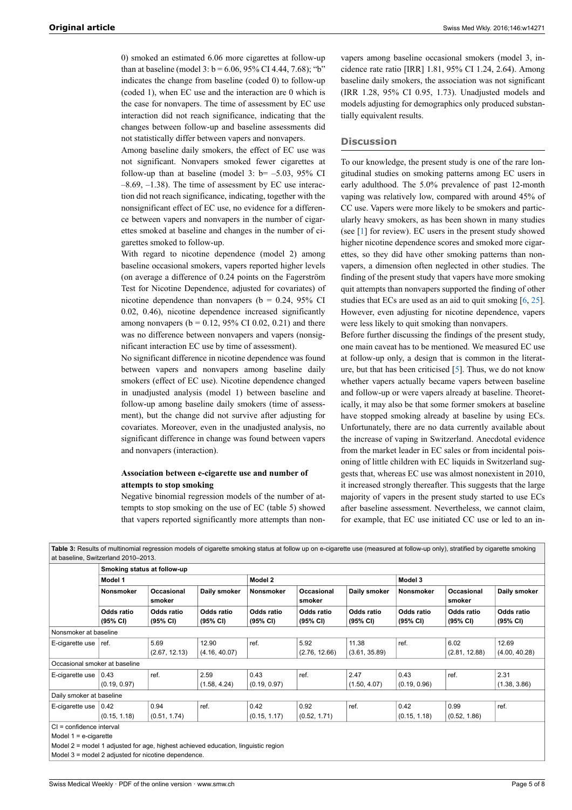0) smoked an estimated 6.06 more cigarettes at follow-up than at baseline (model 3:  $b = 6.06$ , 95% CI 4.44, 7.68); "b" indicates the change from baseline (coded 0) to follow-up (coded 1), when EC use and the interaction are 0 which is the case for nonvapers. The time of assessment by EC use interaction did not reach significance, indicating that the changes between follow-up and baseline assessments did not statistically differ between vapers and nonvapers.

Among baseline daily smokers, the effect of EC use was not significant. Nonvapers smoked fewer cigarettes at follow-up than at baseline (model 3:  $b = -5.03$ , 95% CI  $-8.69, -1.38$ ). The time of assessment by EC use interaction did not reach significance, indicating, together with the nonsignificant effect of EC use, no evidence for a difference between vapers and nonvapers in the number of cigarettes smoked at baseline and changes in the number of cigarettes smoked to follow-up.

With regard to nicotine dependence (model 2) among baseline occasional smokers, vapers reported higher levels (on average a difference of 0.24 points on the Fagerström Test for Nicotine Dependence, adjusted for covariates) of nicotine dependence than nonvapers ( $b = 0.24$ , 95% CI 0.02, 0.46), nicotine dependence increased significantly among nonvapers ( $b = 0.12$ , 95% CI 0.02, 0.21) and there was no difference between nonvapers and vapers (nonsignificant interaction EC use by time of assessment).

No significant difference in nicotine dependence was found between vapers and nonvapers among baseline daily smokers (effect of EC use). Nicotine dependence changed in unadjusted analysis (model 1) between baseline and follow-up among baseline daily smokers (time of assessment), but the change did not survive after adjusting for covariates. Moreover, even in the unadjusted analysis, no significant difference in change was found between vapers and nonvapers (interaction).

# **Association between e-cigarette use and number of attempts to stop smoking**

Negative binomial regression models of the number of attempts to stop smoking on the use of EC (table 5) showed that vapers reported significantly more attempts than non-

vapers among baseline occasional smokers (model 3, incidence rate ratio [IRR] 1.81, 95% CI 1.24, 2.64). Among baseline daily smokers, the association was not significant (IRR 1.28, 95% CI 0.95, 1.73). Unadjusted models and models adjusting for demographics only produced substantially equivalent results.

# **Discussion**

To our knowledge, the present study is one of the rare longitudinal studies on smoking patterns among EC users in early adulthood. The 5.0% prevalence of past 12-month vaping was relatively low, compared with around 45% of CC use. Vapers were more likely to be smokers and particularly heavy smokers, as has been shown in many studies (see  $[1]$  $[1]$  $[1]$  for review). EC users in the present study showed higher nicotine dependence scores and smoked more cigarettes, so they did have other smoking patterns than nonvapers, a dimension often neglected in other studies. The finding of the present study that vapers have more smoking quit attempts than nonvapers supported the finding of other studies that ECs are used as an aid to quit smoking  $[6, 25]$  $[6, 25]$  $[6, 25]$  $[6, 25]$ . However, even adjusting for nicotine dependence, vapers were less likely to quit smoking than nonvapers.

Before further discussing the findings of the present study, one main caveat has to be mentioned. We measured EC use at follow-up only, a design that is common in the literature, but that has been criticised [\[5\]](#page-7-2). Thus, we do not know whether vapers actually became vapers between baseline and follow-up or were vapers already at baseline. Theoretically, it may also be that some former smokers at baseline have stopped smoking already at baseline by using ECs. Unfortunately, there are no data currently available about the increase of vaping in Switzerland. Anecdotal evidence from the market leader in EC sales or from incidental poisoning of little children with EC liquids in Switzerland suggests that, whereas EC use was almost nonexistent in 2010, it increased strongly thereafter. This suggests that the large majority of vapers in the present study started to use ECs after baseline assessment. Nevertheless, we cannot claim, for example, that EC use initiated CC use or led to an in-

|                                                      |                                     |                        |                        |                        |                        | Table 3: Results of multinomial regression models of cigarette smoking status at follow up on e-cigarette use (measured at follow-up only), stratified by cigarette smoking |                        |                        |                        |  |
|------------------------------------------------------|-------------------------------------|------------------------|------------------------|------------------------|------------------------|-----------------------------------------------------------------------------------------------------------------------------------------------------------------------------|------------------------|------------------------|------------------------|--|
|                                                      | at baseline, Switzerland 2010-2013. |                        |                        |                        |                        |                                                                                                                                                                             |                        |                        |                        |  |
|                                                      | Smoking status at follow-up         |                        |                        |                        |                        |                                                                                                                                                                             |                        |                        |                        |  |
|                                                      | Model 1                             |                        |                        | Model 2                |                        |                                                                                                                                                                             | Model 3                |                        |                        |  |
|                                                      | <b>Nonsmoker</b>                    | Occasional<br>smoker   | Daily smoker           | <b>Nonsmoker</b>       | Occasional<br>smoker   | Daily smoker                                                                                                                                                                | <b>Nonsmoker</b>       | Occasional<br>smoker   | Daily smoker           |  |
|                                                      | Odds ratio<br>(95% CI)              | Odds ratio<br>(95% CI) | Odds ratio<br>(95% CI) | Odds ratio<br>(95% CI) | Odds ratio<br>(95% CI) | Odds ratio<br>(95% CI)                                                                                                                                                      | Odds ratio<br>(95% CI) | Odds ratio<br>(95% CI) | Odds ratio<br>(95% CI) |  |
| Nonsmoker at baseline                                |                                     |                        |                        |                        |                        |                                                                                                                                                                             |                        |                        |                        |  |
| E-cigarette use $ $                                  | ref.                                | 5.69                   | 12.90                  | ref.                   | 5.92                   | 11.38                                                                                                                                                                       | ref.                   | 6.02                   | 12.69                  |  |
|                                                      |                                     | (2.67, 12.13)          | (4.16, 40.07)          |                        | (2.76, 12.66)          | (3.61, 35.89)                                                                                                                                                               |                        | (2.81, 12.88)          | (4.00, 40.28)          |  |
| Occasional smoker at baseline                        |                                     |                        |                        |                        |                        |                                                                                                                                                                             |                        |                        |                        |  |
| E-cigarette use                                      | 0.43                                | ref.                   | 2.59                   | 0.43                   | ref.                   | 2.47                                                                                                                                                                        | 0.43                   | ref.                   | 2.31                   |  |
|                                                      | (0.19, 0.97)                        |                        | (1.58, 4.24)           | (0.19, 0.97)           |                        | (1.50, 4.07)                                                                                                                                                                | (0.19, 0.96)           |                        | (1.38, 3.86)           |  |
| Daily smoker at baseline                             |                                     |                        |                        |                        |                        |                                                                                                                                                                             |                        |                        |                        |  |
| E-cigarette use                                      | 0.42                                | 0.94                   | ref.                   | 0.42                   | 0.92                   | ref.                                                                                                                                                                        | 0.42                   | 0.99                   | ref.                   |  |
|                                                      | (0.15, 1.18)                        | (0.51, 1.74)           |                        | (0.15, 1.17)           | (0.52, 1.71)           |                                                                                                                                                                             | (0.15, 1.18)           | (0.52, 1.86)           |                        |  |
| CI = confidence interval<br>Model $1 = e$ -cigarette |                                     |                        |                        |                        |                        |                                                                                                                                                                             |                        |                        |                        |  |
|                                                      |                                     |                        |                        |                        |                        |                                                                                                                                                                             |                        |                        |                        |  |

Model 2 = model 1 adjusted for age, highest achieved education, linguistic region

Model 3 = model 2 adjusted for nicotine dependence.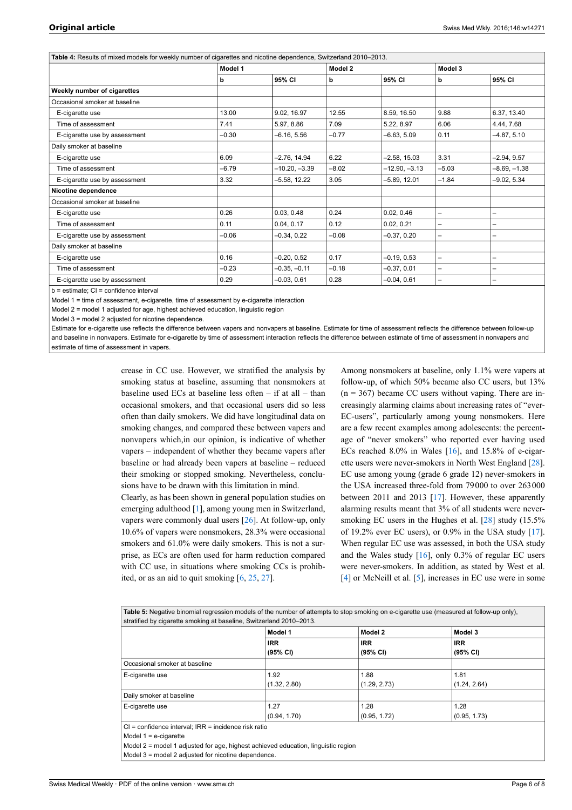| Table 4: Results of mixed models for weekly number of cigarettes and nicotine dependence, Switzerland 2010-2013. |         |                 |         |                 |         |                          |
|------------------------------------------------------------------------------------------------------------------|---------|-----------------|---------|-----------------|---------|--------------------------|
|                                                                                                                  | Model 1 |                 |         |                 | Model 3 |                          |
|                                                                                                                  | b       | 95% CI          | b       | 95% CI          | b       | 95% CI                   |
| Weekly number of cigarettes                                                                                      |         |                 |         |                 |         |                          |
| Occasional smoker at baseline                                                                                    |         |                 |         |                 |         |                          |
| E-cigarette use                                                                                                  | 13.00   | 9.02, 16.97     | 12.55   | 8.59, 16.50     | 9.88    | 6.37, 13.40              |
| Time of assessment                                                                                               | 7.41    | 5.97, 8.86      | 7.09    | 5.22, 8.97      | 6.06    | 4.44, 7.68               |
| E-cigarette use by assessment                                                                                    | $-0.30$ | $-6.16, 5.56$   | $-0.77$ | $-6.63.5.09$    | 0.11    | $-4.87, 5.10$            |
| Daily smoker at baseline                                                                                         |         |                 |         |                 |         |                          |
| E-cigarette use                                                                                                  | 6.09    | $-2.76, 14.94$  | 6.22    | $-2.58, 15.03$  | 3.31    | $-2.94, 9.57$            |
| Time of assessment                                                                                               | $-6.79$ | $-10.20, -3.39$ | $-8.02$ | $-12.90, -3.13$ | $-5.03$ | $-8.69, -1.38$           |
| E-cigarette use by assessment                                                                                    | 3.32    | $-5.58, 12.22$  | 3.05    | $-5.89, 12.01$  | $-1.84$ | $-9.02, 5.34$            |
| Nicotine dependence                                                                                              |         |                 |         |                 |         |                          |
| Occasional smoker at baseline                                                                                    |         |                 |         |                 |         |                          |
| E-cigarette use                                                                                                  | 0.26    | 0.03, 0.48      | 0.24    | 0.02, 0.46      | -       |                          |
| Time of assessment                                                                                               | 0.11    | 0.04, 0.17      | 0.12    | 0.02, 0.21      | -       | $\overline{\phantom{0}}$ |
| E-cigarette use by assessment                                                                                    | $-0.06$ | $-0.34, 0.22$   | $-0.08$ | $-0.37.0.20$    | -       | -                        |
| Daily smoker at baseline                                                                                         |         |                 |         |                 |         |                          |
| E-cigarette use                                                                                                  | 0.16    | $-0.20, 0.52$   | 0.17    | $-0.19, 0.53$   | -       |                          |
| Time of assessment                                                                                               | $-0.23$ | $-0.35, -0.11$  | $-0.18$ | $-0.37, 0.01$   |         |                          |
| E-cigarette use by assessment                                                                                    | 0.29    | $-0.03, 0.61$   | 0.28    | $-0.04.0.61$    | -       | $\overline{\phantom{0}}$ |

 $b =$  estimate:  $Cl =$  confidence interval

Model 1 = time of assessment, e-cigarette, time of assessment by e-cigarette interaction

Model 2 = model 1 adjusted for age, highest achieved education, linguistic region

Model 3 = model 2 adjusted for nicotine dependence.

Estimate for e-cigarette use reflects the difference between vapers and nonvapers at baseline. Estimate for time of assessment reflects the difference between follow-up and baseline in nonvapers. Estimate for e-cigarette by time of assessment interaction reflects the difference between estimate of time of assessment in nonvapers and estimate of time of assessment in vapers.

> crease in CC use. However, we stratified the analysis by smoking status at baseline, assuming that nonsmokers at baseline used ECs at baseline less often – if at all – than occasional smokers, and that occasional users did so less often than daily smokers. We did have longitudinal data on smoking changes, and compared these between vapers and nonvapers which,in our opinion, is indicative of whether vapers – independent of whether they became vapers after baseline or had already been vapers at baseline – reduced their smoking or stopped smoking. Nevertheless, conclusions have to be drawn with this limitation in mind.

> Clearly, as has been shown in general population studies on emerging adulthood [\[1\]](#page-6-0), among young men in Switzerland, vapers were commonly dual users [\[26](#page-7-19)]. At follow-up, only 10.6% of vapers were nonsmokers, 28.3% were occasional smokers and 61.0% were daily smokers. This is not a surprise, as ECs are often used for harm reduction compared with CC use, in situations where smoking CCs is prohibited, or as an aid to quit smoking [\[6,](#page-7-4) [25](#page-7-5), [27\]](#page-7-11).

Among nonsmokers at baseline, only 1.1% were vapers at follow-up, of which 50% became also CC users, but 13%  $(n = 367)$  became CC users without vaping. There are increasingly alarming claims about increasing rates of "ever-EC-users", particularly among young nonsmokers. Here are a few recent examples among adolescents: the percentage of "never smokers" who reported ever having used ECs reached 8.0% in Wales [\[16](#page-7-12)], and 15.8% of e-cigarette users were never-smokers in North West England [[28\]](#page-7-20). EC use among young (grade 6 grade 12) never-smokers in the USA increased three-fold from 79000 to over 263000 between 2011 and 2013 [[17\]](#page-7-13). However, these apparently alarming results meant that 3% of all students were never-smoking EC users in the Hughes et al. [\[28](#page-7-20)] study (15.5%) of 19.2% ever EC users), or  $0.9\%$  in the USA study [[17\]](#page-7-13). When regular EC use was assessed, in both the USA study and the Wales study  $[16]$  $[16]$ , only 0.3% of regular EC users were never-smokers. In addition, as stated by West et al. [[4](#page-7-3)] or McNeill et al. [\[5\]](#page-7-2), increases in EC use were in some

**Table 5:** Negative binomial regression models of the number of attempts to stop smoking on e-cigarette use (measured at follow-up only), stratified by cigarette smoking at baseline, Switzerland 2010–2013.

|                                                      | Model 1      | Model 2      | Model 3      |
|------------------------------------------------------|--------------|--------------|--------------|
|                                                      | <b>IRR</b>   | <b>IRR</b>   | <b>IRR</b>   |
|                                                      | (95% CI)     | (95% CI)     | (95% CI)     |
| Occasional smoker at baseline                        |              |              |              |
| E-cigarette use                                      | 1.92         | 1.88         | 1.81         |
|                                                      | (1.32, 2.80) | (1.29, 2.73) | (1.24, 2.64) |
| Daily smoker at baseline                             |              |              |              |
| E-cigarette use                                      | 1.27         | 1.28         | 1.28         |
|                                                      | (0.94, 1.70) | (0.95, 1.72) | (0.95, 1.73) |
| CI = confidence interval; IRR = incidence risk ratio |              |              |              |

Model 1 = e-cigarette

Model 2 = model 1 adjusted for age, highest achieved education, linguistic region

Model 3 = model 2 adjusted for nicotine dependence.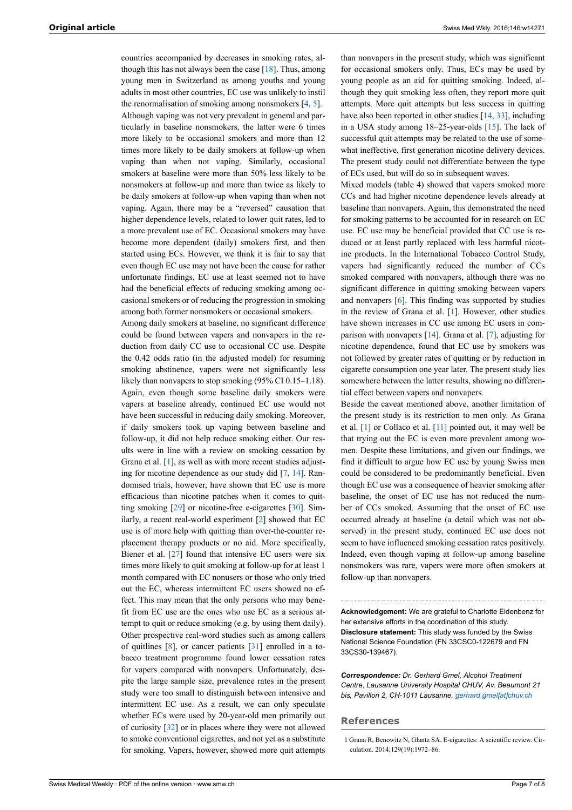countries accompanied by decreases in smoking rates, although this has not always been the case  $[18]$  $[18]$ . Thus, among young men in Switzerland as among youths and young adults in most other countries, EC use was unlikely to instil the renormalisation of smoking among nonsmokers  $[4, 5]$  $[4, 5]$  $[4, 5]$ . Although vaping was not very prevalent in general and particularly in baseline nonsmokers, the latter were 6 times more likely to be occasional smokers and more than 12 times more likely to be daily smokers at follow-up when vaping than when not vaping. Similarly, occasional smokers at baseline were more than 50% less likely to be nonsmokers at follow-up and more than twice as likely to be daily smokers at follow-up when vaping than when not vaping. Again, there may be a "reversed" causation that higher dependence levels, related to lower quit rates, led to a more prevalent use of EC. Occasional smokers may have become more dependent (daily) smokers first, and then started using ECs. However, we think it is fair to say that even though EC use may not have been the cause for rather unfortunate findings, EC use at least seemed not to have had the beneficial effects of reducing smoking among occasional smokers or of reducing the progression in smoking among both former nonsmokers or occasional smokers.

Among daily smokers at baseline, no significant difference could be found between vapers and nonvapers in the reduction from daily CC use to occasional CC use. Despite the 0.42 odds ratio (in the adjusted model) for resuming smoking abstinence, vapers were not significantly less likely than nonvapers to stop smoking (95% CI 0.15–1.18). Again, even though some baseline daily smokers were vapers at baseline already, continued EC use would not have been successful in reducing daily smoking. Moreover, if daily smokers took up vaping between baseline and follow-up, it did not help reduce smoking either. Our results were in line with a review on smoking cessation by Grana et al. [\[1\]](#page-6-0), as well as with more recent studies adjusting for nicotine dependence as our study did [[7](#page-7-21), [14\]](#page-7-9). Randomised trials, however, have shown that EC use is more efficacious than nicotine patches when it comes to quitting smoking [[29\]](#page-7-22) or nicotine-free e-cigarettes [\[30](#page-7-23)]. Similarly, a recent real-world experiment [\[2\]](#page-7-0) showed that EC use is of more help with quitting than over-the-counter replacement therapy products or no aid. More specifically, Biener et al. [\[27](#page-7-11)] found that intensive EC users were six times more likely to quit smoking at follow-up for at least 1 month compared with EC nonusers or those who only tried out the EC, whereas intermittent EC users showed no effect. This may mean that the only persons who may benefit from EC use are the ones who use EC as a serious attempt to quit or reduce smoking (e.g. by using them daily). Other prospective real-word studies such as among callers of quitlines [[8](#page-7-18)], or cancer patients [\[31](#page-7-24)] enrolled in a tobacco treatment programme found lower cessation rates for vapers compared with nonvapers. Unfortunately, despite the large sample size, prevalence rates in the present study were too small to distinguish between intensive and intermittent EC use. As a result, we can only speculate whether ECs were used by 20-year-old men primarily out of curiosity [\[32](#page-7-12)] or in places where they were not allowed to smoke conventional cigarettes, and not yet as a substitute for smoking. Vapers, however, showed more quit attempts

than nonvapers in the present study, which was significant for occasional smokers only. Thus, ECs may be used by young people as an aid for quitting smoking. Indeed, although they quit smoking less often, they report more quit attempts. More quit attempts but less success in quitting have also been reported in other studies [[14,](#page-7-9) [33](#page-7-13)], including in a USA study among 18–25-year-olds [\[15](#page-7-10)]. The lack of successful quit attempts may be related to the use of somewhat ineffective, first generation nicotine delivery devices. The present study could not differentiate between the type of ECs used, but will do so in subsequent waves.

Mixed models (table 4) showed that vapers smoked more CCs and had higher nicotine dependence levels already at baseline than nonvapers. Again, this demonstrated the need for smoking patterns to be accounted for in research on EC use. EC use may be beneficial provided that CC use is reduced or at least partly replaced with less harmful nicotine products. In the International Tobacco Control Study, vapers had significantly reduced the number of CCs smoked compared with nonvapers, although there was no significant difference in quitting smoking between vapers and nonvapers [[6](#page-7-4)]. This finding was supported by studies in the review of Grana et al. [[1](#page-6-0)]. However, other studies have shown increases in CC use among EC users in comparison with nonvapers [\[14](#page-7-9)]. Grana et al. [[7](#page-7-21)], adjusting for nicotine dependence, found that EC use by smokers was not followed by greater rates of quitting or by reduction in cigarette consumption one year later. The present study lies somewhere between the latter results, showing no differential effect between vapers and nonvapers.

Beside the caveat mentioned above, another limitation of the present study is its restriction to men only. As Grana et al. [\[1\]](#page-6-0) or Collaco et al. [\[11](#page-7-11)] pointed out, it may well be that trying out the EC is even more prevalent among women. Despite these limitations, and given our findings, we find it difficult to argue how EC use by young Swiss men could be considered to be predominantly beneficial. Even though EC use was a consequence of heavier smoking after baseline, the onset of EC use has not reduced the number of CCs smoked. Assuming that the onset of EC use occurred already at baseline (a detail which was not observed) in the present study, continued EC use does not seem to have influenced smoking cessation rates positively. Indeed, even though vaping at follow-up among baseline nonsmokers was rare, vapers were more often smokers at follow-up than nonvapers.

**Acknowledgement:** We are grateful to Charlotte Eidenbenz for her extensive efforts in the coordination of this study. **Disclosure statement:** This study was funded by the Swiss National Science Foundation (FN 33CSC0-122679 and FN 33CS30-139467).

*Correspondence: Dr. Gerhard Gmel, Alcohol Treatment Centre, Lausanne University Hospital CHUV, Av. Beaumont 21 bis, Pavillon 2, CH-1011 Lausanne, [gerhard.gmel\[at\]chuv.ch](mailto:gerhard.gmel@chuv.ch)*

#### <span id="page-6-0"></span>**References**

<sup>1</sup> Grana R, Benowitz N, Glantz SA. E-cigarettes: A scientific review. Circulation. 2014;129(19):1972–86.